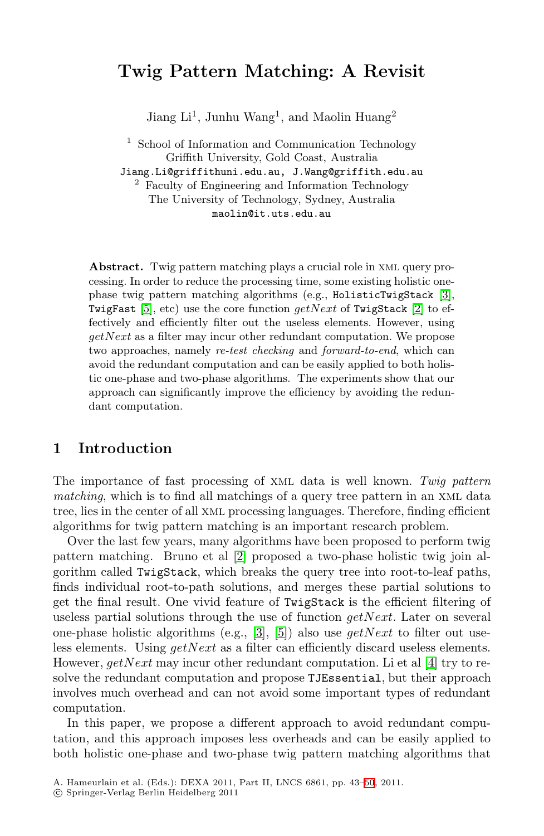# **Twig Pattern Matching: A Revisit**

Jiang  $Li<sup>1</sup>$ , Junhu Wang<sup>1</sup>, and Maolin Huang<sup>2</sup>

<sup>1</sup> School of Information and Communication Technology Griffith University, Gold Coast, Australia

Jiang.Li@griffithuni.edu.au, J.Wang@griffith.edu.au

<sup>2</sup> Faculty of Engineering and Information Technology The University of Technology, Sydney, Australia maolin@it.uts.edu.au

Abstract. Twig pattern matching plays a crucial role in XML query processing. In order to reduce the processing time, some existing holistic onephase twig pattern matching algorithms (e.g., HolisticTwigStack [\[3\]](#page-7-0), TwigFast [\[5\]](#page-7-1), etc) use the core function *getNext* of TwigStack [\[2\]](#page-7-2) to effectively and efficiently filter out the useless elements. However, using *getNext* as a filter may incur other redundant computation. We propose two approaches, namely *re-test checking* and *forward-to-end*, which can avoid the redundant computation and can be easily applied to both holistic one-phase and two-phase algorithms. The experiments show that our approach can significantly improve the efficiency by avoiding the redundant computation.

## **1 Introduction**

The importance of fast processing of xml data is well known. *Twig pattern matching*, which is to find all matchings of a query tree pattern in an XML data tree, lies in the center of all xml processing languages. Therefore, finding efficient algorithms for twig pattern matching is an important research problem.

Over the last few years, many algorithms have been proposed to perform twig pattern matching. Bruno et al [\[2\]](#page-7-2) proposed a two-phase holistic twig join algorithm called TwigStack, which breaks the query tree into root-to-leaf paths, finds individual root-to-path solutions, and merges these partial solutions to get the final result. One vivid feature of TwigStack is the efficient filtering of useless partial solutions through the use of function *getNext*. Later on several one-phase holistic algorithms (e.g., [\[3\]](#page-7-0), [\[5\]](#page-7-1)) also use *getNext* to filter out useless elements. Using *getNext* as a filter can efficiently discard useless elements. However, *getNext* may incur other redundant computation. Li et al [\[4\]](#page-7-3) try to resolve the redundant computation and propose TJEssential, but their approach involves much overhead and can not avoid some important types of redundant computation.

In this paper, we propose a different approach to avoid redundant computation, and this approach imposes less overheads and can be easily applied to both holistic one-phase and two-phase twig pattern matching algorithms that

A. Hameurlain et al. (Eds.): DEXA 2011, Part II, LNCS 6861, pp. 43–[50](#page-7-4), 2011.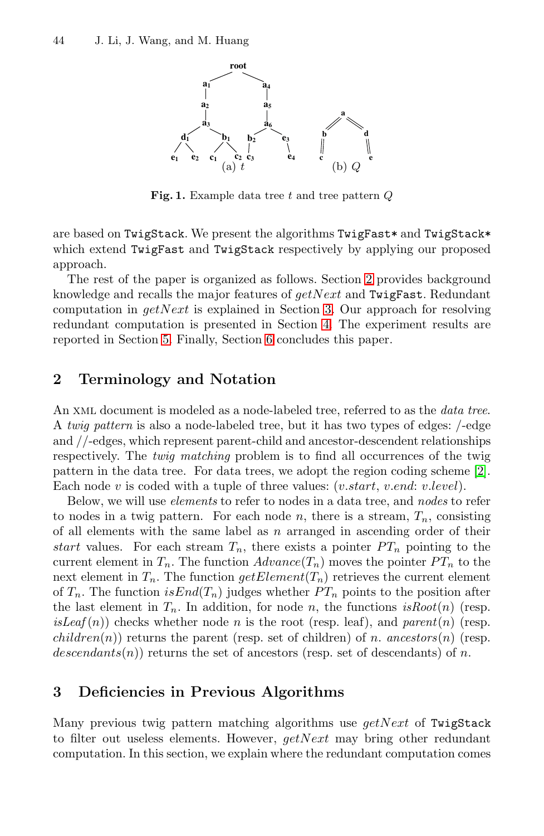

**Fig. 1.** Example data tree *t* and tree pattern *Q*

<span id="page-1-2"></span>are based on TwigStack. We present the algorithms TwigFast\* and TwigStack\* which extend TwigFast and TwigStack respectively by applying our proposed approach.

The rest of the paper is organized as follows. Section [2](#page-1-0) provides background knowledge and recalls the major features of *getNext* and TwigFast. Redundant computation in *getNext* is explained in Section [3.](#page-1-1) Our approach for resolving redundant computation is presented in Section [4.](#page-3-0) The experiment results are reported in Section [5.](#page-5-0) Finally, Section [6](#page-7-5) concludes this paper.

## <span id="page-1-0"></span>**2 Terminology and Notation**

An xml document is modeled as a node-labeled tree, referred to as the *data tree*. A *twig pattern* is also a node-labeled tree, but it has two types of edges: /-edge and //-edges, which represent parent-child and ancestor-descendent relationships respectively. The *twig matching* problem is to find all occurrences of the twig pattern in the data tree. For data trees, we adopt the region coding scheme [\[2\]](#page-7-2). Each node *v* is coded with a tuple of three values: (*v.start*, *v.end*: *v.level*).

Below, we will use *elements* to refer to nodes in a data tree, and *nodes* to refer to nodes in a twig pattern. For each node  $n$ , there is a stream,  $T_n$ , consisting of all elements with the same label as *n* arranged in ascending order of their *start* values. For each stream  $T_n$ , there exists a pointer  $PT_n$  pointing to the current element in  $T_n$ . The function  $Advance(T_n)$  moves the pointer  $PT_n$  to the next element in  $T_n$ . The function  $getElement(T_n)$  retrieves the current element of  $T_n$ . The function  $isEnd(T_n)$  judges whether  $PT_n$  points to the position after the last element in  $T_n$ . In addition, for node *n*, the functions  $isRoot(n)$  (resp.  $isLeaf(n)$ ) checks whether node *n* is the root (resp. leaf), and *parent* $(n)$  (resp.  $children(n)$ ) returns the parent (resp. set of children) of *n*. *ancestors*(*n*) (resp.  $descendants(n)$  returns the set of ancestors (resp. set of descendants) of *n*.

## <span id="page-1-1"></span>**3 Deficiencies in Previous Algorithms**

Many previous twig pattern matching algorithms use *getNext* of TwigStack to filter out useless elements. However, *getNext* may bring other redundant computation. In this section, we explain where the redundant computation comes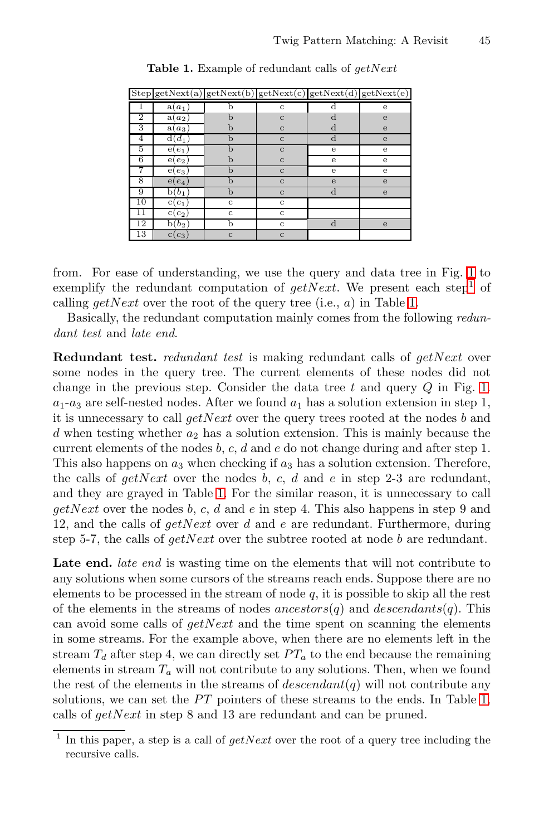<span id="page-2-1"></span>

|                |                    | $\text{Step} \text{getNext}(a) \text{getNext}(b) \text{getNext}(c) \text{getNext}(d) \text{getNext}(e) $ |              |   |             |
|----------------|--------------------|----------------------------------------------------------------------------------------------------------|--------------|---|-------------|
|                | $a(a_1)$           |                                                                                                          | $\mathbf c$  |   | e           |
| $\overline{2}$ | a(a <sub>2</sub> ) | b                                                                                                        | $\mathbf{C}$ | d | e           |
| 3              | $a(a_3)$           | b                                                                                                        | $\mathbf{C}$ | d | e           |
| 4              | $d(d_1)$           | b                                                                                                        | $\mathbf{C}$ | d | $\mathbf e$ |
| 5              | $e(e_1)$           | b                                                                                                        | $\mathbf{C}$ | e | e           |
| 6              | e<br>$e_2$         | b                                                                                                        | $\mathbf{C}$ | e | e           |
|                | $e(e_3)$           | b                                                                                                        | $\mathbf{C}$ | e | e           |
| 8              | $e(e_4)$           | b                                                                                                        | $\mathbf{C}$ | e | e           |
| 9              | $b(b_1)$           | b                                                                                                        | $\mathbf{C}$ | d | $\mathbf e$ |
| 10             | $c(c_1$            | $\mathbf{C}$                                                                                             | $\mathbf c$  |   |             |
| 11             | $c_2$<br>C (       | c                                                                                                        | c            |   |             |
| 12             | $(b_2)$<br>h       | b                                                                                                        | $\mathbf c$  | d | e           |
| 13             | $c_3$<br>C (       | $\mathbf c$                                                                                              | $\mathbf c$  |   |             |

**Table 1.** Example of redundant calls of *getNext*

from. For ease of understanding, we use the query and data tree in Fig. [1](#page-1-2) to exemplify the redundant computation of  $qetNext$ . We present each step<sup>[1](#page-2-0)</sup> of calling *getNext* over the root of the query tree (i.e., *a*) in Table [1.](#page-2-1)

Basically, the redundant computation mainly comes from the following *redundant test* and *late end*.

**Redundant test.** *redundant test* is making redundant calls of *getNext* over some nodes in the query tree. The current elements of these nodes did not change in the previous step. Consider the data tree *t* and query *Q* in Fig. [1.](#page-1-2)  $a_1$ - $a_3$  are self-nested nodes. After we found  $a_1$  has a solution extension in step 1, it is unnecessary to call *getNext* over the query trees rooted at the nodes *b* and *d* when testing whether *a*<sup>2</sup> has a solution extension. This is mainly because the current elements of the nodes *b*, *c*, *d* and *e* do not change during and after step 1. This also happens on *a*<sup>3</sup> when checking if *a*<sup>3</sup> has a solution extension. Therefore, the calls of  $getNext$  over the nodes  $b, c, d$  and  $e$  in step 2-3 are redundant, and they are grayed in Table [1.](#page-2-1) For the similar reason, it is unnecessary to call *getNext* over the nodes *b*, *c*, *d* and *e* in step 4. This also happens in step 9 and 12, and the calls of *getNext* over *d* and *e* are redundant. Furthermore, during step 5-7, the calls of *getNext* over the subtree rooted at node *b* are redundant.

Late end. *late end* is wasting time on the elements that will not contribute to any solutions when some cursors of the streams reach ends. Suppose there are no elements to be processed in the stream of node *q*, it is possible to skip all the rest of the elements in the streams of nodes *ancestors*(*q*) and *descendants*(*q*). This can avoid some calls of *getNext* and the time spent on scanning the elements in some streams. For the example above, when there are no elements left in the stream  $T_d$  after step 4, we can directly set  $PT_a$  to the end because the remaining elements in stream  $T_a$  will not contribute to any solutions. Then, when we found the rest of the elements in the streams of  $descendant(q)$  will not contribute any solutions, we can set the *PT* pointers of these streams to the ends. In Table [1,](#page-2-1) calls of *getNext* in step 8 and 13 are redundant and can be pruned.

<span id="page-2-0"></span><sup>1</sup> In this paper, a step is a call of *getNext* over the root of a query tree including the recursive calls.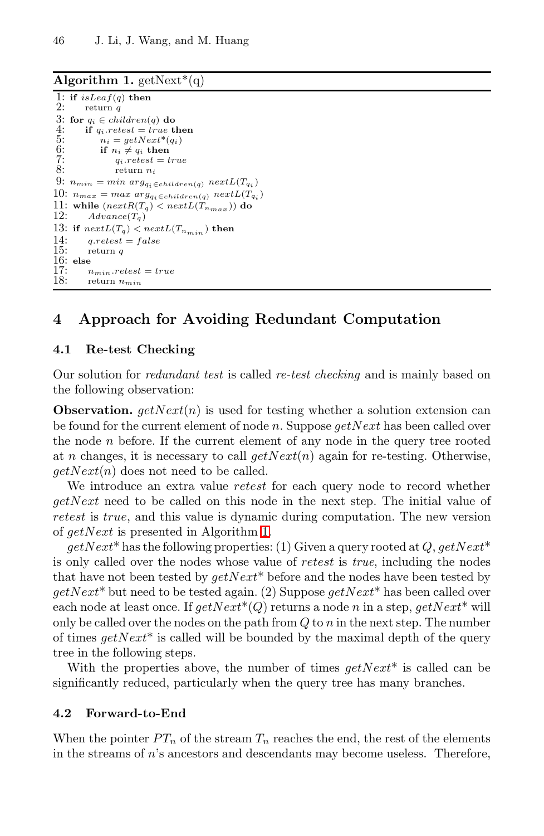### **Algorithm 1.**  $\text{getNext}^*(q)$

```
1: if isLeaf(q) then<br>2: i return q2: return q
 3: for q_i \in children(q) do<br>4: if q_i \text{.} retest = true t.
 4: if q_iretest = true then<br>5: n_i = getNext^*(q_i)5: n_i = getNext^*(q_i)<br>6: if n_i \neq q_i then
 6: if n_i \neq q_i then<br>7: a_i \text{.} retest = t7: q_i \text{.} retest = true<br>8: q_i \text{.} retens n_i8: return ni
9: n_{min} = min \ arg_{q_i \in children(q)} \ nextL(T_{q_i})10: n_{max} = max \ arg_{q_i \in children(q)} \ nextL(T_{q_i})11: while (next{R}(T_q) < nextL(T_{n_{max}})) do
12: Advance(T_q)13: if nextL(T_q) < nextL(T_{n_{min}}) then<br>14: a_{\text{xretest}} = false14: q.retest = false
           15: return q
16: else
17: n_{min}.retest = true<br>18: r_{return} n_{min}18: return nmin
```
## <span id="page-3-0"></span>**4 Approach for Avoiding Redundant Computation**

#### **4.1 Re-test Checking**

Our solution for *redundant test* is called *re-test checking* and is mainly based on the following observation:

**Observation.** *getNext*(*n*) is used for testing whether a solution extension can be found for the current element of node *n*. Suppose *getNext* has been called over the node *n* before. If the current element of any node in the query tree rooted at *n* changes, it is necessary to call  $getNext(n)$  again for re-testing. Otherwise, *getNext*(*n*) does not need to be called.

We introduce an extra value *retest* for each query node to record whether *getNext* need to be called on this node in the next step. The initial value of *retest* is *true*, and this value is dynamic during computation. The new version of *getNext* is presented in Algorithm [1.](#page-3-1)

*getNext*\* has the following properties: (1) Given a query rooted at *Q*, *getNext*\* is only called over the nodes whose value of *retest* is *true*, including the nodes that have not been tested by *getNext*\* before and the nodes have been tested by *getNext*\* but need to be tested again. (2) Suppose *getNext*\* has been called over each node at least once. If  $getNext^*(Q)$  returns a node *n* in a step,  $getNext^*$  will only be called over the nodes on the path from *Q* to *n* in the next step. The number of times *getNext*\* is called will be bounded by the maximal depth of the query tree in the following steps.

With the properties above, the number of times *getNext*\* is called can be significantly reduced, particularly when the query tree has many branches.

#### **4.2 Forward-to-End**

When the pointer  $PT_n$  of the stream  $T_n$  reaches the end, the rest of the elements in the streams of *n*'s ancestors and descendants may become useless. Therefore,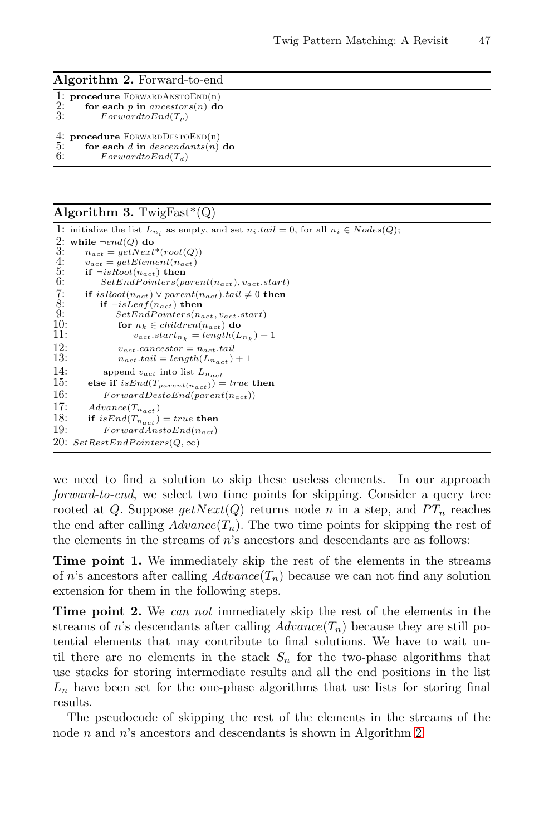#### **Algorithm 2.** Forward-to-end

<span id="page-4-0"></span>

| 2:<br>3: | 1: procedure $FORWARDANSTOEND(n)$<br>for each $p$ in ancestors $(n)$ do<br>$ForwardtoEnd(T_n)$ |
|----------|------------------------------------------------------------------------------------------------|
| 5:       | 4: procedure FORWARDDESTOEND $(n)$<br>for each d in descendants(n) do                          |

6:  $ForwardtoEnd(T_d)$ 

#### **Algorithm 3.** TwigFast\*(Q)

<span id="page-4-1"></span>

|            | 1: initialize the list $L_{n_i}$ as empty, and set $n_i$ tail $i = 0$ , for all $n_i \in Nodes(Q)$ ; |
|------------|------------------------------------------------------------------------------------------------------|
|            | 2: while $\neg end(Q)$ do                                                                            |
| 3:         | $n_{act} = qetNext^*(root(Q))$                                                                       |
| 4:         | $v_{act} = getElement(n_{act})$                                                                      |
| 5:         | if $\neg isRoot(n_{act})$ then                                                                       |
| 6:         | $SetEndPoints(parent(n_{act}), v_{act}.start)$                                                       |
| 7:         | if $isRoot(n_{act}) \vee parent(n_{act}).tail \neq 0$ then                                           |
| 8:         | if $\neg$ <i>isLeaf(n<sub>act</sub>)</i> then                                                        |
| 9:         | $SetEndPoints(n_{act}, v_{act}.start)$                                                               |
| 10:        | for $n_k \in children(n_{act})$ do                                                                   |
| 11:        | $v_{act}.start_{n_k} = length(L_{n_k}) + 1$                                                          |
| 12:        | $v_{act}.cances for = n_{act}.tail$                                                                  |
| 13:        | $n_{act}.tail = length(L_{n_{act}}) + 1$                                                             |
| 14:        | append $v_{act}$ into list $L_{n_{act}}$                                                             |
| <b>15:</b> | else if $isEnd(T_{parent(n_{act})) = true$ then                                                      |
| 16:        | $ForwardDestoEnd(parent(n_{act}))$                                                                   |
| 17:        | $Advance(T_{n_{act}})$                                                                               |
| 18:        | if $isEnd(T_{next}) = true$ then                                                                     |
| 19:        | $ForwardAnstoEnd(n_{act})$                                                                           |
| 20:        | $SetRestEndPoints(Q,\infty)$                                                                         |
|            |                                                                                                      |

we need to find a solution to skip these useless elements. In our approach *forward-to-end*, we select two time points for skipping. Consider a query tree rooted at *Q*. Suppose  $\text{getNext}(Q)$  returns node *n* in a step, and  $PT_n$  reaches the end after calling  $Advance(T_n)$ . The two time points for skipping the rest of the elements in the streams of *n*'s ancestors and descendants are as follows:

**Time point 1.** We immediately skip the rest of the elements in the streams of *n*'s ancestors after calling  $Advance(T_n)$  because we can not find any solution extension for them in the following steps.

**Time point 2.** We *can not* immediately skip the rest of the elements in the streams of *n*'s descendants after calling  $Advance(T_n)$  because they are still potential elements that may contribute to final solutions. We have to wait until there are no elements in the stack  $S_n$  for the two-phase algorithms that use stacks for storing intermediate results and all the end positions in the list *L<sup>n</sup>* have been set for the one-phase algorithms that use lists for storing final results.

The pseudocode of skipping the rest of the elements in the streams of the node *n* and *n*'s ancestors and descendants is shown in Algorithm [2.](#page-4-0)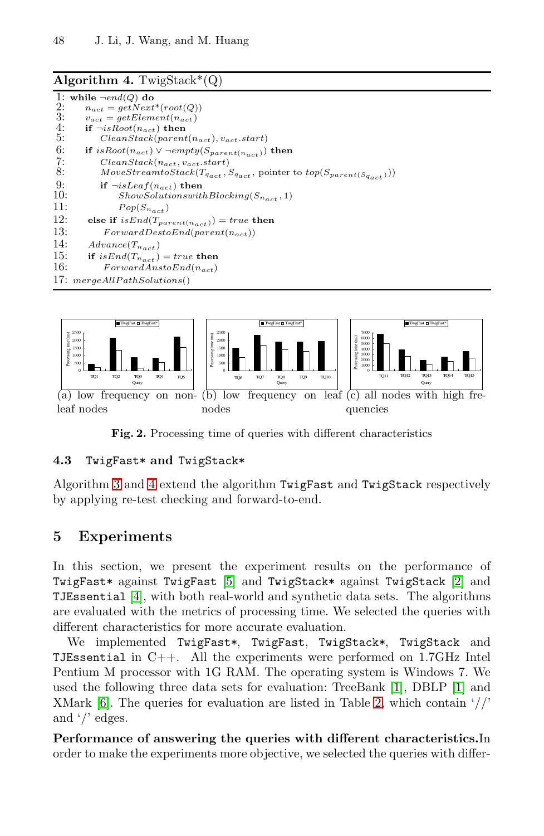### **Algorithm 4.** TwigStack\* $(Q)$

<span id="page-5-1"></span>

|     | 1: while $\neg end(Q)$ do                                                                |
|-----|------------------------------------------------------------------------------------------|
| 2:  | $n_{act} = qetNext^*(root(Q))$                                                           |
| 3:  | $v_{act} = getElement(n_{act})$                                                          |
| 4:  | if $\neg isRoot(n_{act})$ then                                                           |
| 5:  | $ClearStack(parent(n_{act}), v_{act}.start)$                                             |
| 6:  | if $isRoot(n_{act}) \vee \neg empty(S_{parent(n_{act})})$ then                           |
| 7:  | $ClearStack(n_{act}, v_{act}.start)$                                                     |
| 8:  | $MoveStream to Stack(T_{qact}, S_{qact}, \text{ pointer to } top(S_{parent(S_{qact}))})$ |
| 9:  | if $\neg$ <i>isLeaf(n<sub>act</sub>)</i> then                                            |
| 10: | $ShowSolutions with Blocking(S_{n_{act}}, 1)$                                            |
| 11: | $Pop(S_{n_{act}})$                                                                       |
| 12: | else if $isEnd(T_{parent(n_{act})) = true$ then                                          |
| 13: | $ForwardDestoEnd(parent(n_{act}))$                                                       |
| 14: | $Advance(T_{n_{act}})$                                                                   |
| 15: | if $isEnd(T_{n_{act}}) = true$ then                                                      |
| 16: | $ForwardAnstoEnd(n_{act})$                                                               |
|     | 17: mergeAllPathSolutions()                                                              |



**Fig. 2.** Processing time of queries with different characteristics

### <span id="page-5-2"></span>**4.3** TwigFast\* **and** TwigStack\*

Algorithm [3](#page-4-1) and [4](#page-5-1) extend the algorithm TwigFast and TwigStack respectively by applying re-test checking and forward-to-end.

## <span id="page-5-0"></span>**5 Experiments**

In this section, we present the experiment results on the performance of TwigFast\* against TwigFast [\[5\]](#page-7-1) and TwigStack\* against TwigStack [\[2\]](#page-7-2) and TJEssential [\[4\]](#page-7-3), with both real-world and synthetic data sets. The algorithms are evaluated with the metrics of processing time. We selected the queries with different characteristics for more accurate evaluation.

We implemented TwigFast\*, TwigFast, TwigStack\*, TwigStack and TJEssential in C++. All the experiments were performed on 1.7GHz Intel Pentium M processor with 1G RAM. The operating system is Windows 7. We used the following three data sets for evaluation: TreeBank [\[1\]](#page-7-6), DBLP [\[1\]](#page-7-6) and XMark [\[6\]](#page-7-7). The queries for evaluation are listed in Table [2,](#page-6-0) which contain '//' and '/' edges.

**Performance of answering the queries with different characteristics.**In order to make the experiments more objective, we selected the queries with differ-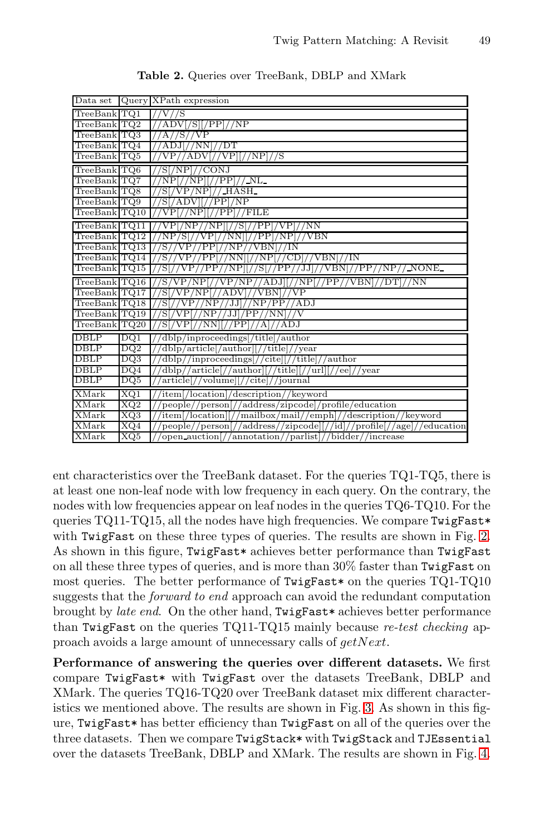<span id="page-6-0"></span>

| Data set          |     | Query XPath expression                                                   |
|-------------------|-----|--------------------------------------------------------------------------|
| TreeBank TQ1      |     | $1/\mathrm{V}/\mathrm{S}$                                                |
| TreeBank TQ2      |     | 'ADV[/S][/PP]//NP                                                        |
| TreeBank TQ3      |     | 'A//S//VP<br>$\frac{1}{2}$                                               |
| TreeBank TQ4      |     | //ADJ//NN]/DT                                                            |
| TreeBank TQ5      |     | //VP  //NP //S<br>VP.<br>'ADV                                            |
| TreeBank TQ6      |     | 'S[/NP]//CONJ                                                            |
| TreeBank TQ7      |     | 'NP[//NP][//PP]//_NL_                                                    |
| $TreeBank$ $TQ8$  |     | 'S[/VP/NP]//_HASH_                                                       |
| TreeBank TQ9      |     | 'S[/ADV][//PP]/NP                                                        |
| TreeBank TQ10     |     | //FILE<br>'PP<br>VР<br>'NΡ                                               |
| TreeBank TQ11     |     | [//S[//PP]/VP]//NN<br>VPI<br>/NP<br>/NP /                                |
| TreeBank TQ12     |     | 'PPl/NPl<br>VBN<br>'NP.<br>'S[/<br>VP<br>'NN                             |
| TreeBank TQ13     |     | 'S / /<br>VP // PP!/<br>$\overline{\text{V}}\text{BN}$<br>/IN<br>'NP / / |
| $TreeBank$ $TQ14$ |     | //S//VP//PP[//NN][//NP[//CD]//VBN]//IN                                   |
| TreeBank   TQ15   |     | 'SI7<br>//PP//JJJ//VBNJ//PP//NP// NONE<br>VP // PP // NP<br>/SI          |
| TreeBank TQ16     |     | //S/VP/NP[//VP/NP//ADJ][//NP[//PP//VBN]//DT]<br>/NN                      |
| TreeBank TQ17     |     | //S[/VP/NP[//ADV]//VBN]//VP                                              |
| TreeBank TQ18     |     | 'SL<br>VP//NP//JJ]//NP/PP//ADJ                                           |
| TreeBank TQ19     |     | //S[/VP[//NP//JJ]/PP//NN]//V                                             |
| TreeBank TQ20     |     | 'S[/VP[//NN][//PP]//A]//ADJ                                              |
| <b>DBLP</b>       | DQ1 | dblp/inproceedings[/title]/author                                        |
| <b>DBLP</b>       | DQ2 | 'dblp/article[/author][//title]//year                                    |
| <b>DBLP</b>       | DQ3 | dblp//inproceedings[//cite][//title]/<br>/author                         |
| DBLP              | DQ4 | //dblp//article[//author][//title][//url][//ee]//year                    |
| DBLP              | DQ5 | article[//volume][//cite]//journal                                       |
| XMark             | XQ1 | 'item[/location]/description//keyword                                    |
| XMark             | XQ2 | people//person[//address/zipcode]/profile/education                      |
| <b>XMark</b>      | XQ3 | item[/location][//mailbox/mail//emph]//description//keyword              |
| XMark             | XQ4 | people//person(//address//zipcode)(//id///profile(//age)//education      |
| XMark             | XQ5 | open_auction[//annotation//parlist]//bidder//increase                    |

**Table 2.** Queries over TreeBank, DBLP and XMark

ent characteristics over the TreeBank dataset. For the queries TQ1-TQ5, there is at least one non-leaf node with low frequency in each query. On the contrary, the nodes with low frequencies appear on leaf nodes in the queries TQ6-TQ10. For the queries TQ11-TQ15, all the nodes have high frequencies. We compare TwigFast\* with TwigFast on these three types of queries. The results are shown in Fig. [2.](#page-5-2) As shown in this figure, TwigFast\* achieves better performance than TwigFast on all these three types of queries, and is more than 30% faster than TwigFast on most queries. The better performance of TwigFast\* on the queries TQ1-TQ10 suggests that the *forward to end* approach can avoid the redundant computation brought by *late end*. On the other hand, TwigFast\* achieves better performance than TwigFast on the queries TQ11-TQ15 mainly because *re-test checking* approach avoids a large amount of unnecessary calls of *getNext*.

**Performance of answering the queries over different datasets.** We first compare TwigFast\* with TwigFast over the datasets TreeBank, DBLP and XMark. The queries TQ16-TQ20 over TreeBank dataset mix different characteristics we mentioned above. The results are shown in Fig. [3.](#page-7-8) As shown in this figure, TwigFast\* has better efficiency than TwigFast on all of the queries over the three datasets. Then we compare TwigStack\* with TwigStack and TJEssential over the datasets TreeBank, DBLP and XMark. The results are shown in Fig. [4.](#page-7-9)